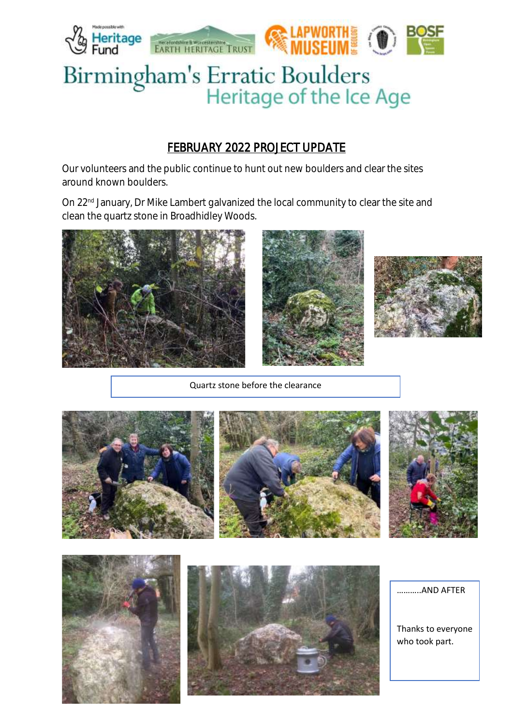

## FEBRUARY 2022 PROJECT UPDATE

Our volunteers and the public continue to hunt out new boulders and clear the sites around known boulders.

On 22<sup>nd</sup> January, Dr Mike Lambert galvanized the local community to clear the site and clean the quartz stone in Broadhidley Woods.







Quartz stone before the clearance







………..AND AFTER

Thanks to everyone who took part.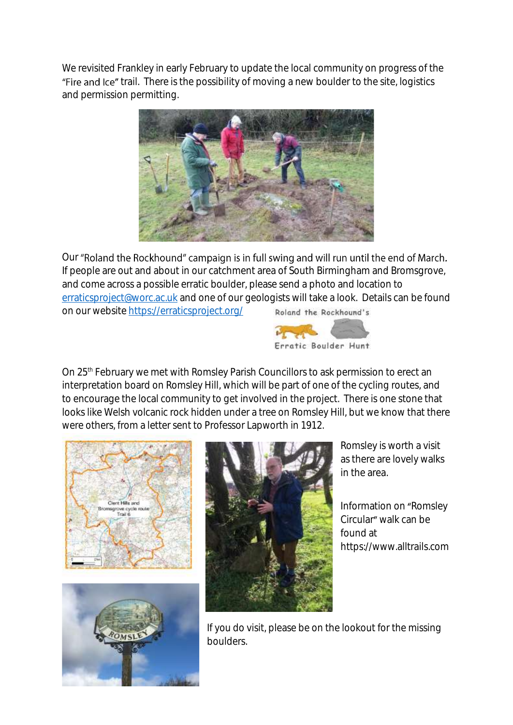We revisited Frankley in early February to update the local community on progress of the "Fire and Ice" trail. There is the possibility of moving a new boulder to the site, logistics and permission permitting.



Our "Roland the Rockhound" campaign is in full swing and will run until the end of March. If people are out and about in our catchment area of South Birmingham and Bromsgrove, and come across a possible erratic boulder, please send a photo and location to [erraticsproject@worc.ac.uk](mailto:erraticsproject@worc.ac.uk) and one of our geologists will take a look. Details can be found on our website<https://erraticsproject.org/> Roland the Rockhound's



On 25<sup>th</sup> February we met with Romsley Parish Councillors to ask permission to erect an interpretation board on Romsley Hill, which will be part of one of the cycling routes, and to encourage the local community to get involved in the project. There is one stone that looks like Welsh volcanic rock hidden under a tree on Romsley Hill, but we know that there were others, from a letter sent to Professor Lapworth in 1912.







Romsley is worth a visit as there are lovely walks in the area.

Information on "Romsley Circular" walk can be found at https://www.alltrails.com

If you do visit, please be on the lookout for the missing boulders.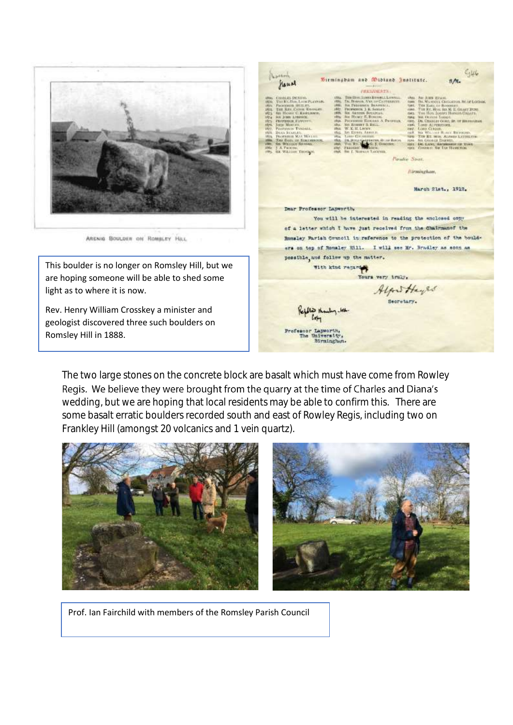

ARENIG BOULDER ON ROMBLEY HILL

This boulder is no longer on Romsley Hill, but we are hoping someone will be able to shed some light as to where it is now.

Rev. Henry William Crosskey a minister and geologist discovered three such boulders on Romsley Hill in 1888.

 $6446$ North, Birmingbam and Widiand Institute. sAL flaund PRESIDENTS  $\begin{tabular}{ll} \hline \textbf{WRA} & \textbf{M8} & \textbf{M8} & \textbf{B} & \textbf{B} & \textbf{B} & \textbf{B} & \textbf{B} & \textbf{B} & \textbf{B} & \textbf{B} & \textbf{B} & \textbf{B} & \textbf{B} & \textbf{B} & \textbf{B} & \textbf{B} & \textbf{B} & \textbf{B} & \textbf{B} & \textbf{B} & \textbf{B} & \textbf{B} & \textbf{B} & \textbf{B} & \textbf{B} & \textbf{B} & \textbf{B} & \textbf{B} & \textbf$  $\begin{tabular}{l|c|c|c|c} \hline \multicolumn{2}{c}{\textbf{15.6}} & \multicolumn{2}{c}{\textbf{15.6}} & \multicolumn{2}{c}{\textbf{15.6}} & \multicolumn{2}{c}{\textbf{15.6}} & \multicolumn{2}{c}{\textbf{15.6}} & \multicolumn{2}{c}{\textbf{15.6}} & \multicolumn{2}{c}{\textbf{15.6}} & \multicolumn{2}{c}{\textbf{15.6}} & \multicolumn{2}{c}{\textbf{15.6}} & \multicolumn{2}{c}{\textbf{15.6}} & \multicolumn{2}{c}{\text$ CANALES DENDER<br>THE R.Y. How, Local PLANPAR-PROFINSOR HUMLEY,<br>THE RAW CANNA KAYNESEL.<br>SIL HUMLE C. RAMUNONS SOLAIVAN,<br>E. Rimoni,<br>Elisande A. Propinsis,<br>1 S. Ball **AGHN 1.1** FROZENIK EUROPEK<br>John Morten, Francisco Tynanti<br>Distribution<br>Pierrona Mat Birtanic<br>The Bancar Savenne<br>Su Weisar Savenn TWO SAND CATALOG BLACK BUTCHERS<br>1998 - THE REL HEW ALLEND LATTER CORRELATED BY SALE CONTROL DATABASE SERVICE CARD THAT THE REL THAT IS NOT THE UPPER OF THE THE REL OF THE SALE OF THE THE SALE OF THE SALE OF THE SALE OF THE De Bronche (M. J. Gos J. A. Paramerican Christian Company Paradio Street. Hirmingham, March 21st., 1912. Dear Professor Lanworth, You will be interested in reading the anchosed cony of a letter which I have just received from the Chairman of the Romsley Parish Council in reference to the protection of the boulders on top of Romsley Rill. I will see Mr. Bradley as soon as possible, and follow up the matter. With kind regard Yours very truly, Alfred Hayles  $m$ Professor Lapworth, Birmingham

The two large stones on the concrete block are basalt which must have come from Rowley Regis. We believe they were brought from the quarry at the time of Charles and Diana's wedding, but we are hoping that local residents may be able to confirm this. There are some basalt erratic boulders recorded south and east of Rowley Regis, including two on Frankley Hill (amongst 20 volcanics and 1 vein quartz).



Prof. Ian Fairchild with members of the Romsley Parish Council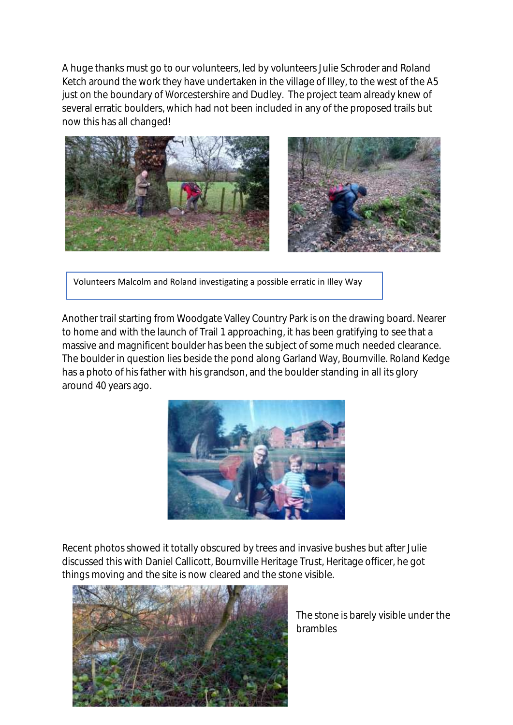A huge thanks must go to our volunteers, led by volunteers Julie Schroder and Roland Ketch around the work they have undertaken in the village of Illey, to the west of the A5 just on the boundary of Worcestershire and Dudley. The project team already knew of several erratic boulders, which had not been included in any of the proposed trails but now this has all changed!



Volunteers Malcolm and Roland investigating a possible erratic in Illey Way

Another trail starting from Woodgate Valley Country Park is on the drawing board. Nearer to home and with the launch of Trail 1 approaching, it has been gratifying to see that a massive and magnificent boulder has been the subject of some much needed clearance. The boulder in question lies beside the pond along Garland Way, Bournville. Roland Kedge has a photo of his father with his grandson, and the boulder standing in all its glory around 40 years ago.



Recent photos showed it totally obscured by trees and invasive bushes but after Julie discussed this with Daniel Callicott, Bournville Heritage Trust, Heritage officer, he got things moving and the site is now cleared and the stone visible.



The stone is barely visible under the brambles